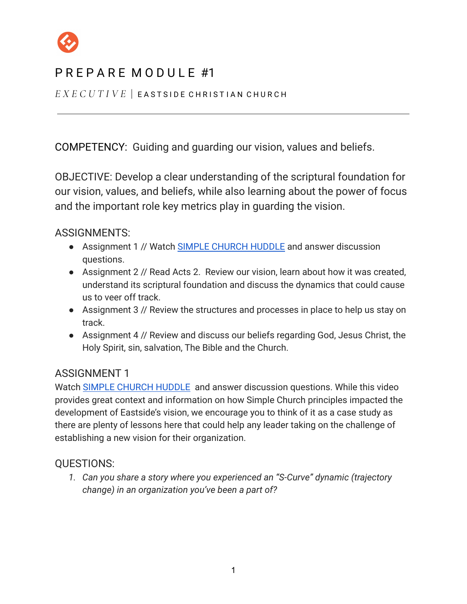

# P R F P A R F M O D U L F #1

*E X E C U T I V E* | E A S T S I D E C H R I S T I A N C H U R C H

COMPETENCY: Guiding and guarding our vision, values and beliefs.

OBJECTIVE: Develop a clear understanding of the scriptural foundation for our vision, values, and beliefs, while also learning about the power of focus and the important role key metrics play in guarding the vision.

ASSIGNMENTS:

- Assignment 1 // Watch [SIMPLE CHURCH HUDDLE](https://zoom.us/rec/play/30UzBNatXYaDoQYykQ7ZzZGGtKM2lA6W5u3qsL_1nF1yxHAAnM9w9MrqKOia8IBKzhDXre0YilTIz6wp.98_hpB5bX4GLfU6e?startTime=1619121624000&_x_zm_rtaid=BNOC8StfTx2nT7ITjFTTSw.1619664839288.2fc1eb5219d470cb528f5746e3bbdd84&_x_zm_rhtaid=587) and answer discussion questions.
- Assignment 2 // Read Acts 2. Review our vision, learn about how it was created, understand its scriptural foundation and discuss the dynamics that could cause us to veer off track.
- Assignment 3 // Review the structures and processes in place to help us stay on track.
- Assignment 4 // Review and discuss our beliefs regarding God, Jesus Christ, the Holy Spirit, sin, salvation, The Bible and the Church.

### ASSIGNMENT 1

Watch [SIMPLE CHURCH HUDDLE](https://zoom.us/rec/play/30UzBNatXYaDoQYykQ7ZzZGGtKM2lA6W5u3qsL_1nF1yxHAAnM9w9MrqKOia8IBKzhDXre0YilTIz6wp.98_hpB5bX4GLfU6e?startTime=1619121624000&_x_zm_rtaid=BNOC8StfTx2nT7ITjFTTSw.1619664839288.2fc1eb5219d470cb528f5746e3bbdd84&_x_zm_rhtaid=587) and answer discussion questions. While this video provides great context and information on how Simple Church principles impacted the development of Eastside's vision, we encourage you to think of it as a case study as there are plenty of lessons here that could help any leader taking on the challenge of establishing a new vision for their organization.

### QUESTIONS:

*1. Can you share a story where you experienced an "S-Curve" dynamic (trajectory change) in an organization you've been a part of?*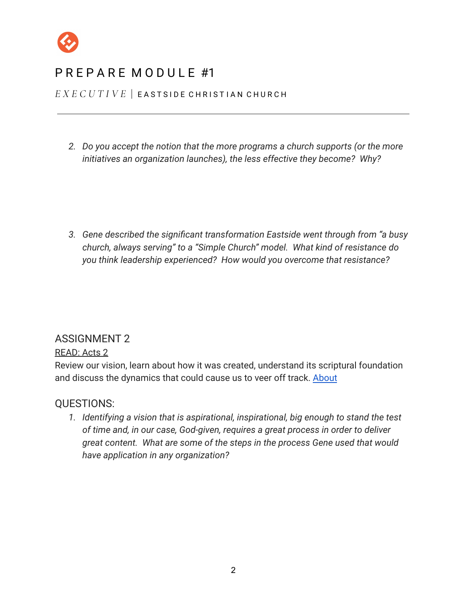

# P R F P A R F M O D U L F #1

*E X E C U T I V E* | E A S T S I D E C H R I S T I A N C H U R C H

*2. Do you accept the notion that the more programs a church supports (or the more initiatives an organization launches), the less effective they become? Why?*

*3. Gene described the significant transformation Eastside went through from "a busy church, always serving" to a "Simple Church" model. What kind of resistance do you think leadership experienced? How would you overcome that resistance?*

### ASSIGNMENT 2

#### READ: Acts 2

Review our vision, learn about how it was created, understand its scriptural foundation and discuss the dynamics that could cause us to veer off track. [About](https://eastside.com/about/)

#### QUESTIONS:

*1. Identifying a vision that is aspirational, inspirational, big enough to stand the test of time and, in our case, God-given, requires a great process in order to deliver great content. What are some of the steps in the process Gene used that would have application in any organization?*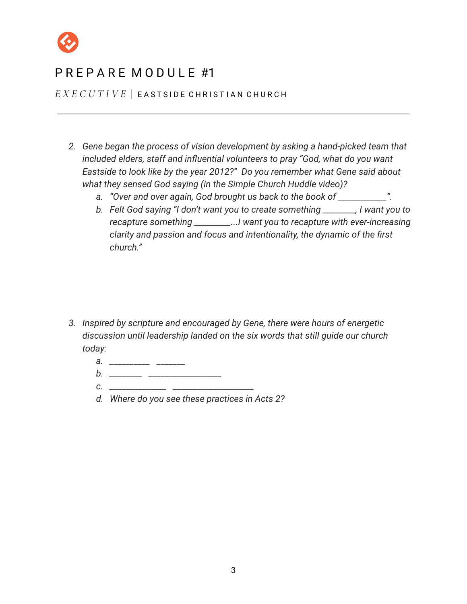

*E X E C U T I V E* | E A S T S I D E C H R I S T I A N C H U R C H

- *2. Gene began the process of vision development by asking a hand-picked team that included elders, staff and influential volunteers to pray "God, what do you want Eastside to look like by the year 2012?" Do you remember what Gene said about what they sensed God saying (in the Simple Church Huddle video)?*
	- *a. "Over and over again, God brought us back to the book of \_\_\_\_\_\_\_\_\_\_\_\_".*
	- *b. Felt God saying "I don't want you to create something \_\_\_\_\_\_\_\_, I want you to recapture something \_\_\_\_\_\_\_\_\_...I want you to recapture with ever-increasing clarity and passion and focus and intentionality, the dynamic of the first church."*

- *3. Inspired by scripture and encouraged by Gene, there were hours of energetic discussion until leadership landed on the six words that still guide our church today:*
	- *a. \_\_\_\_\_\_\_\_\_\_ \_\_\_\_\_\_\_*
	- *b. \_\_\_\_\_\_\_\_ \_\_\_\_\_\_\_\_\_\_\_\_\_\_\_\_\_\_ c. \_\_\_\_\_\_\_\_\_\_\_\_\_\_ \_\_\_\_\_\_\_\_\_\_\_\_\_\_\_\_\_\_\_\_*
	- *d. Where do you see these practices in Acts 2?*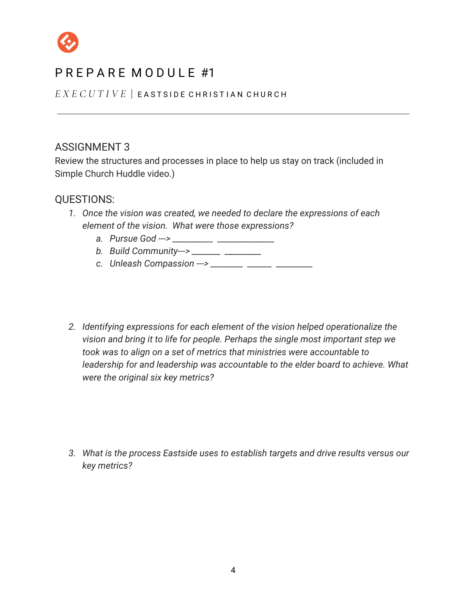

*E X E C U T I V E* | E A S T S I D E C H R I S T I A N C H U R C H

### ASSIGNMENT 3

Review the structures and processes in place to help us stay on track (included in Simple Church Huddle video.)

#### QUESTIONS:

- *1. Once the vision was created, we needed to declare the expressions of each element of the vision. What were those expressions?*
	- *a. Pursue God ---> \_\_\_\_\_\_\_\_\_\_ \_\_\_\_\_\_\_\_\_\_\_\_\_\_*
	- *b. Build Community---> \_\_\_\_\_\_\_ \_\_\_\_\_\_\_\_\_*
	- *c. Unleash Compassion ---> \_\_\_\_\_\_\_\_ \_\_\_\_\_\_ \_\_\_\_\_\_\_\_\_*
- *2. Identifying expressions for each element of the vision helped operationalize the vision and bring it to life for people. Perhaps the single most important step we took was to align on a set of metrics that ministries were accountable to leadership for and leadership was accountable to the elder board to achieve. What were the original six key metrics?*

*3. What is the process Eastside uses to establish targets and drive results versus our key metrics?*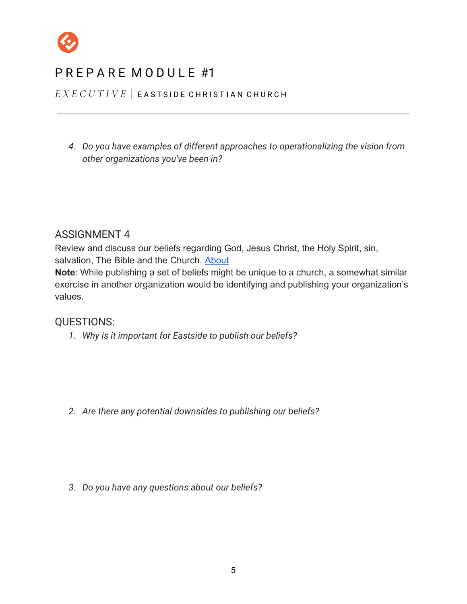

*E X E C U T I V E* | E A S T S I D E C H R I S T I A N C H U R C H

*4. Do you have examples of different approaches to operationalizing the vision from other organizations you've been in?*

#### ASSIGNMENT 4

Review and discuss our beliefs regarding God, Jesus Christ, the Holy Spirit, sin, salvation, The Bible and the Church. [About](https://eastside.com/about/)

**Note**: While publishing a set of beliefs might be unique to a church, a somewhat similar exercise in another organization would be identifying and publishing your organization's values.

#### QUESTIONS:

*1. Why is it important for Eastside to publish our beliefs?*

*2. Are there any potential downsides to publishing our beliefs?*

*3. Do you have any questions about our beliefs?*